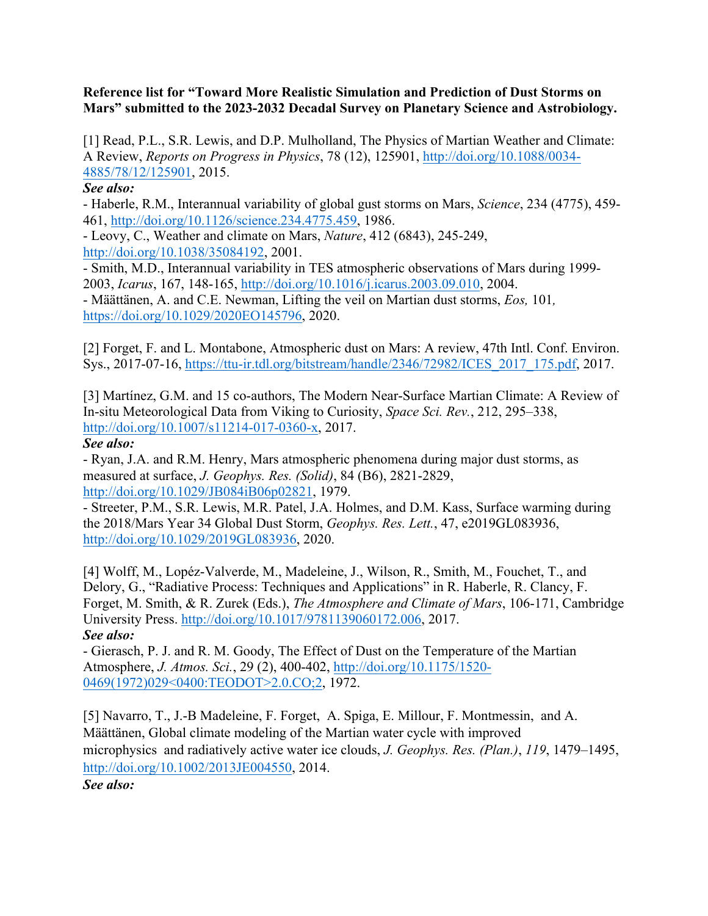### **Reference list for "Toward More Realistic Simulation and Prediction of Dust Storms on Mars" submitted to the 2023-2032 Decadal Survey on Planetary Science and Astrobiology.**

[1] Read, P.L., S.R. Lewis, and D.P. Mulholland, The Physics of Martian Weather and Climate: A Review, *Reports on Progress in Physics*, 78 (12), 125901, http://doi.org/10.1088/0034- 4885/78/12/125901, 2015.

### *See also:*

- Haberle, R.M., Interannual variability of global gust storms on Mars, *Science*, 234 (4775), 459- 461, http://doi.org/10.1126/science.234.4775.459, 1986.

- Leovy, C., Weather and climate on Mars, *Nature*, 412 (6843), 245-249, http://doi.org/10.1038/35084192, 2001.

- Smith, M.D., Interannual variability in TES atmospheric observations of Mars during 1999- 2003, *Icarus*, 167, 148-165, http://doi.org/10.1016/j.icarus.2003.09.010, 2004.

- Määttänen, A. and C.E. Newman, Lifting the veil on Martian dust storms, *Eos,* 101*,* https://doi.org/10.1029/2020EO145796, 2020.

[2] Forget, F. and L. Montabone, Atmospheric dust on Mars: A review, 47th Intl. Conf. Environ. Sys., 2017-07-16, https://ttu-ir.tdl.org/bitstream/handle/2346/72982/ICES\_2017\_175.pdf, 2017.

[3] Martínez, G.M. and 15 co-authors, The Modern Near-Surface Martian Climate: A Review of In-situ Meteorological Data from Viking to Curiosity, *Space Sci. Rev.*, 212, 295–338, http://doi.org/10.1007/s11214-017-0360-x, 2017.

## *See also:*

- Ryan, J.A. and R.M. Henry, Mars atmospheric phenomena during major dust storms, as measured at surface, *J. Geophys. Res. (Solid)*, 84 (B6), 2821-2829, http://doi.org/10.1029/JB084iB06p02821, 1979.

- Streeter, P.M., S.R. Lewis, M.R. Patel, J.A. Holmes, and D.M. Kass, Surface warming during the 2018/Mars Year 34 Global Dust Storm, *Geophys. Res. Lett.*, 47, e2019GL083936, http://doi.org/10.1029/2019GL083936, 2020.

[4] Wolff, M., Lopéz-Valverde, M., Madeleine, J., Wilson, R., Smith, M., Fouchet, T., and Delory, G., "Radiative Process: Techniques and Applications" in R. Haberle, R. Clancy, F. Forget, M. Smith, & R. Zurek (Eds.), *The Atmosphere and Climate of Mars*, 106-171, Cambridge University Press. http://doi.org/10.1017/9781139060172.006, 2017. *See also:*

- Gierasch, P. J. and R. M. Goody, The Effect of Dust on the Temperature of the Martian Atmosphere, *J. Atmos. Sci.*, 29 (2), 400-402, http://doi.org/10.1175/1520- 0469(1972)029<0400:TEODOT>2.0.CO;2, 1972.

[5] Navarro, T., J.-B Madeleine, F. Forget, A. Spiga, E. Millour, F. Montmessin, and A. Määttänen, Global climate modeling of the Martian water cycle with improved microphysics and radiatively active water ice clouds, *J. Geophys. Res. (Plan.)*, *119*, 1479–1495, http://doi.org/10.1002/2013JE004550, 2014.

*See also:*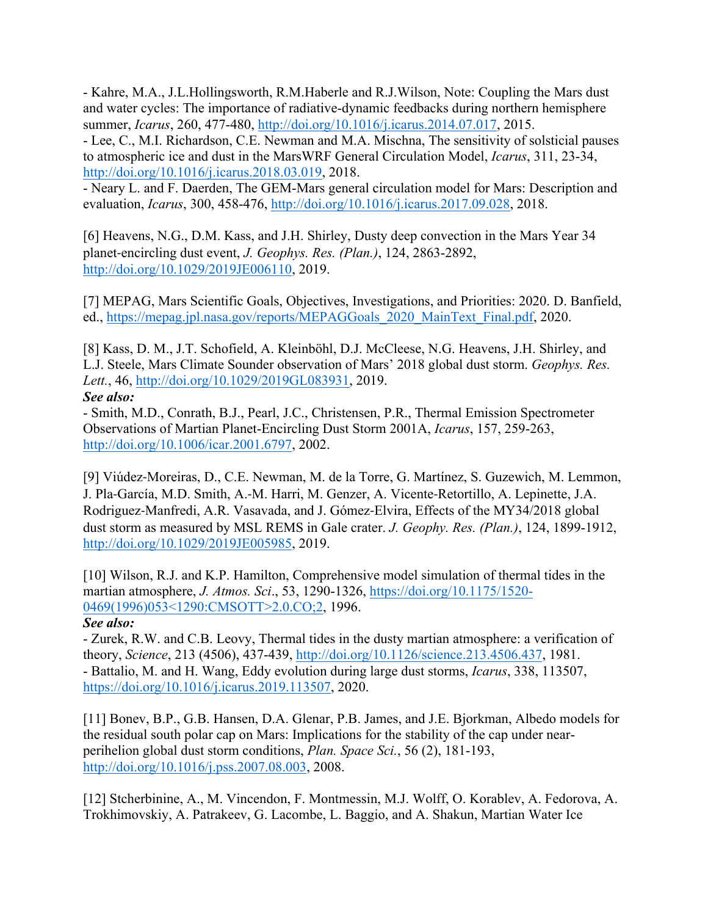- Kahre, M.A., J.L.Hollingsworth, R.M.Haberle and R.J.Wilson, Note: Coupling the Mars dust and water cycles: The importance of radiative-dynamic feedbacks during northern hemisphere summer, *Icarus*, 260, 477-480, http://doi.org/10.1016/j.icarus.2014.07.017, 2015.

- Lee, C., M.I. Richardson, C.E. Newman and M.A. Mischna, The sensitivity of solsticial pauses to atmospheric ice and dust in the MarsWRF General Circulation Model, *Icarus*, 311, 23-34, http://doi.org/10.1016/j.icarus.2018.03.019, 2018.

- Neary L. and F. Daerden, The GEM-Mars general circulation model for Mars: Description and evaluation, *Icarus*, 300, 458-476, http://doi.org/10.1016/j.icarus.2017.09.028, 2018.

[6] Heavens, N.G., D.M. Kass, and J.H. Shirley, Dusty deep convection in the Mars Year 34 planet-encircling dust event, *J. Geophys. Res. (Plan.)*, 124, 2863-2892, http://doi.org/10.1029/2019JE006110, 2019.

[7] MEPAG, Mars Scientific Goals, Objectives, Investigations, and Priorities: 2020. D. Banfield, ed., https://mepag.jpl.nasa.gov/reports/MEPAGGoals\_2020\_MainText\_Final.pdf, 2020.

[8] Kass, D. M., J.T. Schofield, A. Kleinböhl, D.J. McCleese, N.G. Heavens, J.H. Shirley, and L.J. Steele, Mars Climate Sounder observation of Mars' 2018 global dust storm. *Geophys. Res. Lett.*, 46, http://doi.org/10.1029/2019GL083931, 2019. *See also:*

- Smith, M.D., Conrath, B.J., Pearl, J.C., Christensen, P.R., Thermal Emission Spectrometer Observations of Martian Planet-Encircling Dust Storm 2001A, *Icarus*, 157, 259-263, http://doi.org/10.1006/icar.2001.6797, 2002.

[9] Viúdez-Moreiras, D., C.E. Newman, M. de la Torre, G. Martínez, S. Guzewich, M. Lemmon, J. Pla-García, M.D. Smith, A.-M. Harri, M. Genzer, A. Vicente-Retortillo, A. Lepinette, J.A. Rodriguez-Manfredi, A.R. Vasavada, and J. Gómez-Elvira, Effects of the MY34/2018 global dust storm as measured by MSL REMS in Gale crater. *J. Geophy. Res. (Plan.)*, 124, 1899-1912, http://doi.org/10.1029/2019JE005985, 2019.

[10] Wilson, R.J. and K.P. Hamilton, Comprehensive model simulation of thermal tides in the martian atmosphere, *J. Atmos. Sci*., 53, 1290-1326, https://doi.org/10.1175/1520- 0469(1996)053<1290:CMSOTT>2.0.CO;2, 1996.

## *See also:*

- Zurek, R.W. and C.B. Leovy, Thermal tides in the dusty martian atmosphere: a verification of theory, *Science*, 213 (4506), 437-439, http://doi.org/10.1126/science.213.4506.437, 1981. - Battalio, M. and H. Wang, Eddy evolution during large dust storms, *Icarus*, 338, 113507, https://doi.org/10.1016/j.icarus.2019.113507, 2020.

[11] Bonev, B.P., G.B. Hansen, D.A. Glenar, P.B. James, and J.E. Bjorkman, Albedo models for the residual south polar cap on Mars: Implications for the stability of the cap under nearperihelion global dust storm conditions, *Plan. Space Sci.*, 56 (2), 181-193, http://doi.org/10.1016/j.pss.2007.08.003, 2008.

[12] Stcherbinine, A., M. Vincendon, F. Montmessin, M.J. Wolff, O. Korablev, A. Fedorova, A. Trokhimovskiy, A. Patrakeev, G. Lacombe, L. Baggio, and A. Shakun, Martian Water Ice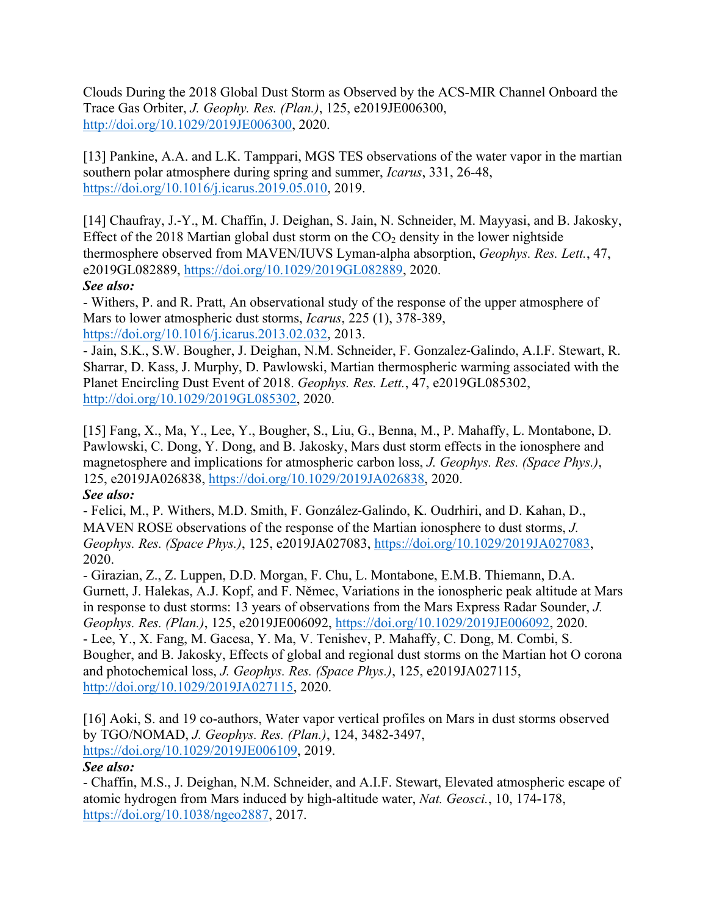Clouds During the 2018 Global Dust Storm as Observed by the ACS-MIR Channel Onboard the Trace Gas Orbiter, *J. Geophy. Res. (Plan.)*, 125, e2019JE006300, http://doi.org/10.1029/2019JE006300, 2020.

[13] Pankine, A.A. and L.K. Tamppari, MGS TES observations of the water vapor in the martian southern polar atmosphere during spring and summer, *Icarus*, 331, 26-48, https://doi.org/10.1016/j.icarus.2019.05.010, 2019.

[14] Chaufray, J.-Y., M. Chaffin, J. Deighan, S. Jain, N. Schneider, M. Mayyasi, and B. Jakosky, Effect of the 2018 Martian global dust storm on the  $CO<sub>2</sub>$  density in the lower nightside thermosphere observed from MAVEN/IUVS Lyman-alpha absorption, *Geophys. Res. Lett.*, 47, e2019GL082889, https://doi.org/10.1029/2019GL082889, 2020. *See also:*

- Withers, P. and R. Pratt, An observational study of the response of the upper atmosphere of Mars to lower atmospheric dust storms, *Icarus*, 225 (1), 378-389, https://doi.org/10.1016/j.icarus.2013.02.032, 2013.

- Jain, S.K., S.W. Bougher, J. Deighan, N.M. Schneider, F. Gonzalez-Galindo, A.I.F. Stewart, R. Sharrar, D. Kass, J. Murphy, D. Pawlowski, Martian thermospheric warming associated with the Planet Encircling Dust Event of 2018. *Geophys. Res. Lett.*, 47, e2019GL085302, http://doi.org/10.1029/2019GL085302, 2020.

[15] Fang, X., Ma, Y., Lee, Y., Bougher, S., Liu, G., Benna, M., P. Mahaffy, L. Montabone, D. Pawlowski, C. Dong, Y. Dong, and B. Jakosky, Mars dust storm effects in the ionosphere and magnetosphere and implications for atmospheric carbon loss, *J. Geophys. Res. (Space Phys.)*, 125, e2019JA026838, https://doi.org/10.1029/2019JA026838, 2020. *See also:*

- Felici, M., P. Withers, M.D. Smith, F. González-Galindo, K. Oudrhiri, and D. Kahan, D., MAVEN ROSE observations of the response of the Martian ionosphere to dust storms, *J. Geophys. Res. (Space Phys.)*, 125, e2019JA027083, https://doi.org/10.1029/2019JA027083, 2020.

- Girazian, Z., Z. Luppen, D.D. Morgan, F. Chu, L. Montabone, E.M.B. Thiemann, D.A. Gurnett, J. Halekas, A.J. Kopf, and F. Němec, Variations in the ionospheric peak altitude at Mars in response to dust storms: 13 years of observations from the Mars Express Radar Sounder, *J. Geophys. Res. (Plan.)*, 125, e2019JE006092, https://doi.org/10.1029/2019JE006092, 2020. - Lee, Y., X. Fang, M. Gacesa, Y. Ma, V. Tenishev, P. Mahaffy, C. Dong, M. Combi, S. Bougher, and B. Jakosky, Effects of global and regional dust storms on the Martian hot O corona and photochemical loss, *J. Geophys. Res. (Space Phys.)*, 125, e2019JA027115, http://doi.org/10.1029/2019JA027115, 2020.

[16] Aoki, S. and 19 co-authors, Water vapor vertical profiles on Mars in dust storms observed by TGO/NOMAD, *J. Geophys. Res. (Plan.)*, 124, 3482-3497, https://doi.org/10.1029/2019JE006109, 2019.

## *See also:*

- Chaffin, M.S., J. Deighan, N.M. Schneider, and A.I.F. Stewart, Elevated atmospheric escape of atomic hydrogen from Mars induced by high-altitude water, *Nat. Geosci.*, 10, 174-178, https://doi.org/10.1038/ngeo2887, 2017.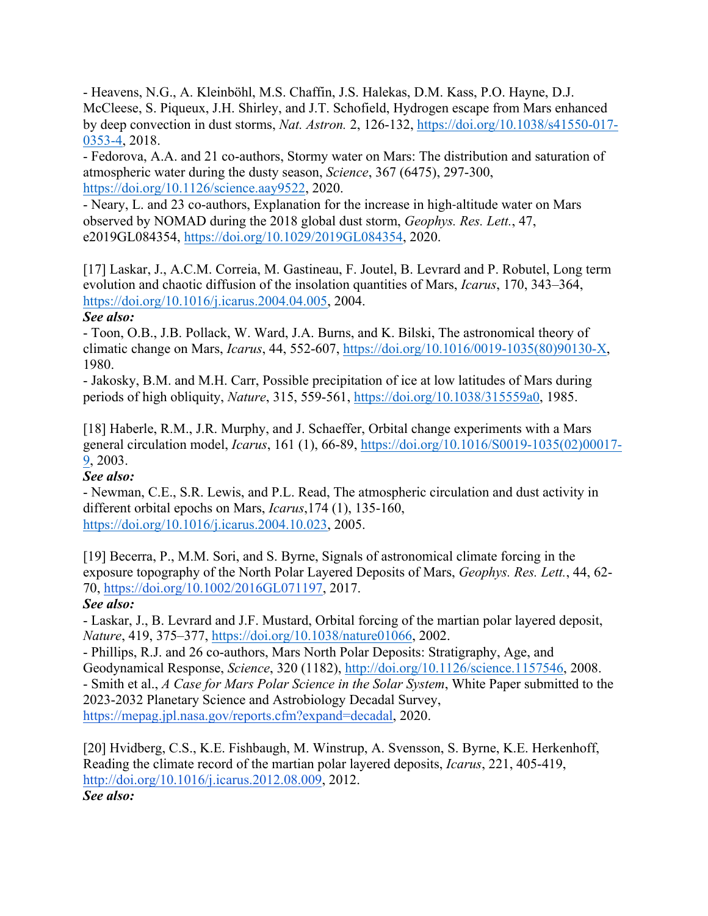- Heavens, N.G., A. Kleinböhl, M.S. Chaffin, J.S. Halekas, D.M. Kass, P.O. Hayne, D.J. McCleese, S. Piqueux, J.H. Shirley, and J.T. Schofield, Hydrogen escape from Mars enhanced by deep convection in dust storms, *Nat. Astron.* 2, 126-132, https://doi.org/10.1038/s41550-017- 0353-4, 2018.

- Fedorova, A.A. and 21 co-authors, Stormy water on Mars: The distribution and saturation of atmospheric water during the dusty season, *Science*, 367 (6475), 297-300, https://doi.org/10.1126/science.aay9522, 2020.

- Neary, L. and 23 co-authors, Explanation for the increase in high-altitude water on Mars observed by NOMAD during the 2018 global dust storm, *Geophys. Res. Lett.*, 47, e2019GL084354, https://doi.org/10.1029/2019GL084354, 2020.

[17] Laskar, J., A.C.M. Correia, M. Gastineau, F. Joutel, B. Levrard and P. Robutel, Long term evolution and chaotic diffusion of the insolation quantities of Mars, *Icarus*, 170, 343–364, https://doi.org/10.1016/j.icarus.2004.04.005, 2004.

## *See also:*

- Toon, O.B., J.B. Pollack, W. Ward, J.A. Burns, and K. Bilski, The astronomical theory of climatic change on Mars, *Icarus*, 44, 552-607, https://doi.org/10.1016/0019-1035(80)90130-X, 1980.

- Jakosky, B.M. and M.H. Carr, Possible precipitation of ice at low latitudes of Mars during periods of high obliquity, *Nature*, 315, 559-561, https://doi.org/10.1038/315559a0, 1985.

[18] Haberle, R.M., J.R. Murphy, and J. Schaeffer, Orbital change experiments with a Mars general circulation model, *Icarus*, 161 (1), 66-89, https://doi.org/10.1016/S0019-1035(02)00017- 9, 2003.

## *See also:*

- Newman, C.E., S.R. Lewis, and P.L. Read, The atmospheric circulation and dust activity in different orbital epochs on Mars, *Icarus*,174 (1), 135-160, https://doi.org/10.1016/j.icarus.2004.10.023, 2005.

[19] Becerra, P., M.M. Sori, and S. Byrne, Signals of astronomical climate forcing in the exposure topography of the North Polar Layered Deposits of Mars, *Geophys. Res. Lett.*, 44, 62- 70, https://doi.org/10.1002/2016GL071197, 2017.

# *See also:*

- Laskar, J., B. Levrard and J.F. Mustard, Orbital forcing of the martian polar layered deposit, *Nature*, 419, 375–377, https://doi.org/10.1038/nature01066, 2002.

- Phillips, R.J. and 26 co-authors, Mars North Polar Deposits: Stratigraphy, Age, and Geodynamical Response, *Science*, 320 (1182), http://doi.org/10.1126/science.1157546, 2008. - Smith et al., *A Case for Mars Polar Science in the Solar System*, White Paper submitted to the 2023-2032 Planetary Science and Astrobiology Decadal Survey, https://mepag.jpl.nasa.gov/reports.cfm?expand=decadal, 2020.

[20] Hvidberg, C.S., K.E. Fishbaugh, M. Winstrup, A. Svensson, S. Byrne, K.E. Herkenhoff, Reading the climate record of the martian polar layered deposits, *Icarus*, 221, 405-419, http://doi.org/10.1016/j.icarus.2012.08.009, 2012. *See also:*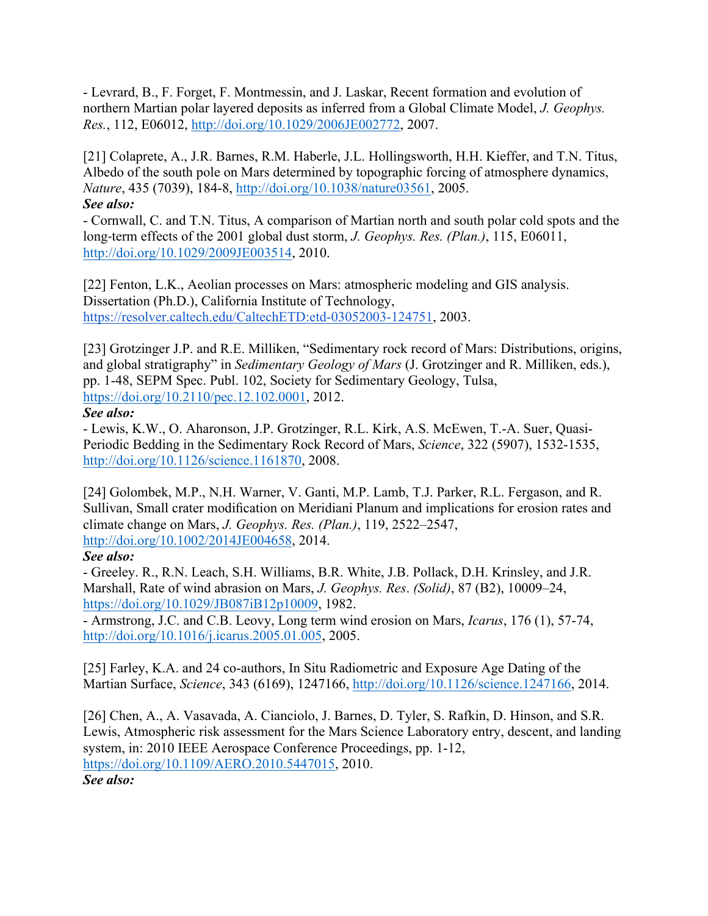- Levrard, B., F. Forget, F. Montmessin, and J. Laskar, Recent formation and evolution of northern Martian polar layered deposits as inferred from a Global Climate Model, *J. Geophys. Res.*, 112, E06012, http://doi.org/10.1029/2006JE002772, 2007.

[21] Colaprete, A., J.R. Barnes, R.M. Haberle, J.L. Hollingsworth, H.H. Kieffer, and T.N. Titus, Albedo of the south pole on Mars determined by topographic forcing of atmosphere dynamics, *Nature*, 435 (7039), 184-8, http://doi.org/10.1038/nature03561, 2005. *See also:*

- Cornwall, C. and T.N. Titus, A comparison of Martian north and south polar cold spots and the long-term effects of the 2001 global dust storm, *J. Geophys. Res. (Plan.)*, 115, E06011, http://doi.org/10.1029/2009JE003514, 2010.

[22] Fenton, L.K., Aeolian processes on Mars: atmospheric modeling and GIS analysis. Dissertation (Ph.D.), California Institute of Technology, https://resolver.caltech.edu/CaltechETD:etd-03052003-124751, 2003.

[23] Grotzinger J.P. and R.E. Milliken, "Sedimentary rock record of Mars: Distributions, origins, and global stratigraphy" in *Sedimentary Geology of Mars* (J. Grotzinger and R. Milliken, eds.), pp. 1-48, SEPM Spec. Publ. 102, Society for Sedimentary Geology, Tulsa, https://doi.org/10.2110/pec.12.102.0001, 2012.

*See also:*

- Lewis, K.W., O. Aharonson, J.P. Grotzinger, R.L. Kirk, A.S. McEwen, T.-A. Suer, Quasi-Periodic Bedding in the Sedimentary Rock Record of Mars, *Science*, 322 (5907), 1532-1535, http://doi.org/10.1126/science.1161870, 2008.

[24] Golombek, M.P., N.H. Warner, V. Ganti, M.P. Lamb, T.J. Parker, R.L. Fergason, and R. Sullivan, Small crater modification on Meridiani Planum and implications for erosion rates and climate change on Mars, *J. Geophys. Res. (Plan.)*, 119, 2522–2547, http://doi.org/10.1002/2014JE004658, 2014.

## *See also:*

- Greeley. R., R.N. Leach, S.H. Williams, B.R. White, J.B. Pollack, D.H. Krinsley, and J.R. Marshall, Rate of wind abrasion on Mars, *J. Geophys. Res*. *(Solid)*, 87 (B2), 10009–24, https://doi.org/10.1029/JB087iB12p10009, 1982.

- Armstrong, J.C. and C.B. Leovy, Long term wind erosion on Mars, *Icarus*, 176 (1), 57-74, http://doi.org/10.1016/j.icarus.2005.01.005, 2005.

[25] Farley, K.A. and 24 co-authors, In Situ Radiometric and Exposure Age Dating of the Martian Surface, *Science*, 343 (6169), 1247166, http://doi.org/10.1126/science.1247166, 2014.

[26] Chen, A., A. Vasavada, A. Cianciolo, J. Barnes, D. Tyler, S. Rafkin, D. Hinson, and S.R. Lewis, Atmospheric risk assessment for the Mars Science Laboratory entry, descent, and landing system, in: 2010 IEEE Aerospace Conference Proceedings, pp. 1-12, https://doi.org/10.1109/AERO.2010.5447015, 2010.

*See also:*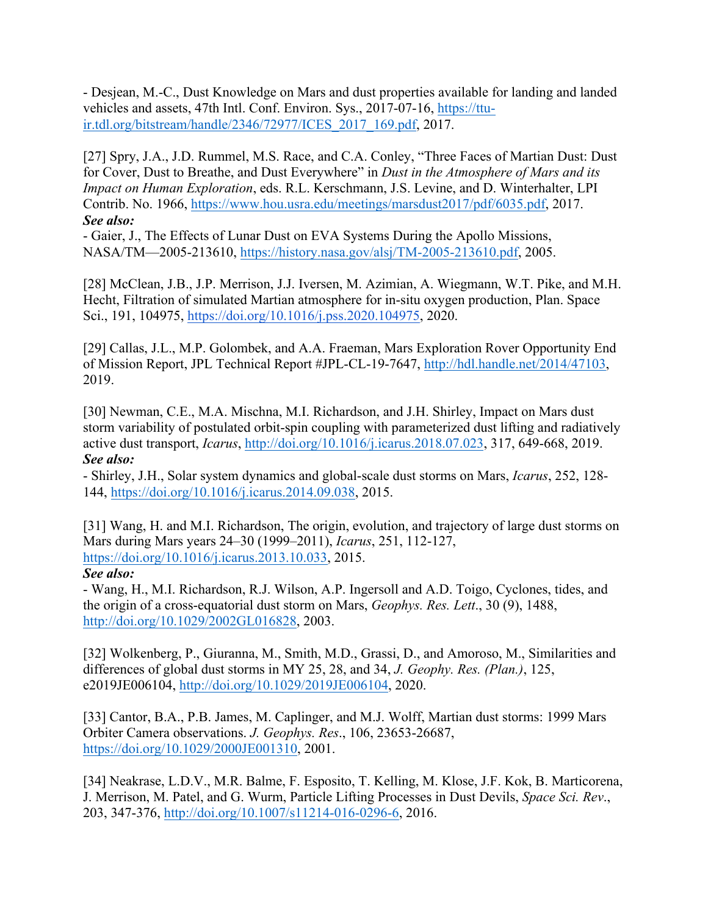- Desjean, M.-C., Dust Knowledge on Mars and dust properties available for landing and landed vehicles and assets, 47th Intl. Conf. Environ. Sys., 2017-07-16, https://ttuir.tdl.org/bitstream/handle/2346/72977/ICES\_2017\_169.pdf, 2017.

[27] Spry, J.A., J.D. Rummel, M.S. Race, and C.A. Conley, "Three Faces of Martian Dust: Dust for Cover, Dust to Breathe, and Dust Everywhere" in *Dust in the Atmosphere of Mars and its Impact on Human Exploration*, eds. R.L. Kerschmann, J.S. Levine, and D. Winterhalter, LPI Contrib. No. 1966, https://www.hou.usra.edu/meetings/marsdust2017/pdf/6035.pdf, 2017. *See also:*

- Gaier, J., The Effects of Lunar Dust on EVA Systems During the Apollo Missions, NASA/TM—2005-213610, https://history.nasa.gov/alsj/TM-2005-213610.pdf, 2005.

[28] McClean, J.B., J.P. Merrison, J.J. Iversen, M. Azimian, A. Wiegmann, W.T. Pike, and M.H. Hecht, Filtration of simulated Martian atmosphere for in-situ oxygen production, Plan. Space Sci., 191, 104975, https://doi.org/10.1016/j.pss.2020.104975, 2020.

[29] Callas, J.L., M.P. Golombek, and A.A. Fraeman, Mars Exploration Rover Opportunity End of Mission Report, JPL Technical Report #JPL-CL-19-7647, http://hdl.handle.net/2014/47103, 2019.

[30] Newman, C.E., M.A. Mischna, M.I. Richardson, and J.H. Shirley, Impact on Mars dust storm variability of postulated orbit-spin coupling with parameterized dust lifting and radiatively active dust transport, *Icarus*, http://doi.org/10.1016/j.icarus.2018.07.023, 317, 649-668, 2019. *See also:*

- Shirley, J.H., Solar system dynamics and global-scale dust storms on Mars, *Icarus*, 252, 128- 144, https://doi.org/10.1016/j.icarus.2014.09.038, 2015.

[31] Wang, H. and M.I. Richardson, The origin, evolution, and trajectory of large dust storms on Mars during Mars years 24–30 (1999–2011), *Icarus*, 251, 112-127, https://doi.org/10.1016/j.icarus.2013.10.033, 2015.

### *See also:*

- Wang, H., M.I. Richardson, R.J. Wilson, A.P. Ingersoll and A.D. Toigo, Cyclones, tides, and the origin of a cross-equatorial dust storm on Mars, *Geophys. Res. Lett*., 30 (9), 1488, http://doi.org/10.1029/2002GL016828, 2003.

[32] Wolkenberg, P., Giuranna, M., Smith, M.D., Grassi, D., and Amoroso, M., Similarities and differences of global dust storms in MY 25, 28, and 34, *J. Geophy. Res. (Plan.)*, 125, e2019JE006104, http://doi.org/10.1029/2019JE006104, 2020.

[33] Cantor, B.A., P.B. James, M. Caplinger, and M.J. Wolff, Martian dust storms: 1999 Mars Orbiter Camera observations. *J. Geophys. Res*., 106, 23653-26687, https://doi.org/10.1029/2000JE001310, 2001.

[34] Neakrase, L.D.V., M.R. Balme, F. Esposito, T. Kelling, M. Klose, J.F. Kok, B. Marticorena, J. Merrison, M. Patel, and G. Wurm, Particle Lifting Processes in Dust Devils, *Space Sci. Rev*., 203, 347-376, http://doi.org/10.1007/s11214-016-0296-6, 2016.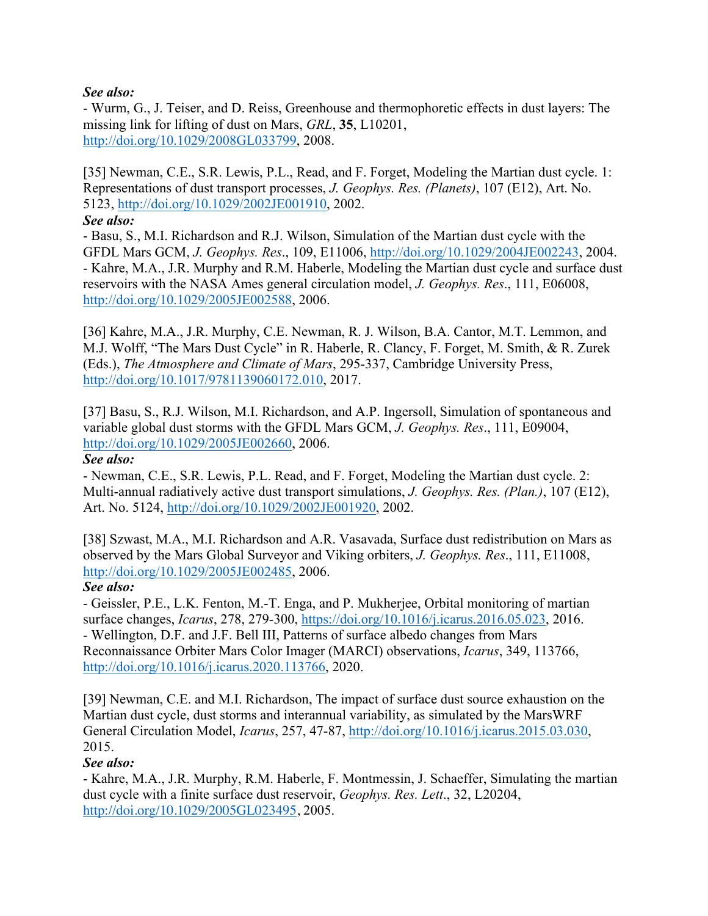## *See also:*

- Wurm, G., J. Teiser, and D. Reiss, Greenhouse and thermophoretic effects in dust layers: The missing link for lifting of dust on Mars, *GRL*, **35**, L10201, http://doi.org/10.1029/2008GL033799, 2008.

[35] Newman, C.E., S.R. Lewis, P.L., Read, and F. Forget, Modeling the Martian dust cycle. 1: Representations of dust transport processes, *J. Geophys. Res. (Planets)*, 107 (E12), Art. No. 5123, http://doi.org/10.1029/2002JE001910, 2002.

*See also:*

- Basu, S., M.I. Richardson and R.J. Wilson, Simulation of the Martian dust cycle with the GFDL Mars GCM, *J. Geophys. Res*., 109, E11006, http://doi.org/10.1029/2004JE002243, 2004. - Kahre, M.A., J.R. Murphy and R.M. Haberle, Modeling the Martian dust cycle and surface dust reservoirs with the NASA Ames general circulation model, *J. Geophys. Res*., 111, E06008, http://doi.org/10.1029/2005JE002588, 2006.

[36] Kahre, M.A., J.R. Murphy, C.E. Newman, R. J. Wilson, B.A. Cantor, M.T. Lemmon, and M.J. Wolff, "The Mars Dust Cycle" in R. Haberle, R. Clancy, F. Forget, M. Smith, & R. Zurek (Eds.), *The Atmosphere and Climate of Mars*, 295-337, Cambridge University Press, http://doi.org/10.1017/9781139060172.010, 2017.

[37] Basu, S., R.J. Wilson, M.I. Richardson, and A.P. Ingersoll, Simulation of spontaneous and variable global dust storms with the GFDL Mars GCM, *J. Geophys. Res*., 111, E09004, http://doi.org/10.1029/2005JE002660, 2006.

## *See also:*

- Newman, C.E., S.R. Lewis, P.L. Read, and F. Forget, Modeling the Martian dust cycle. 2: Multi-annual radiatively active dust transport simulations, *J. Geophys. Res. (Plan.)*, 107 (E12), Art. No. 5124, http://doi.org/10.1029/2002JE001920, 2002.

[38] Szwast, M.A., M.I. Richardson and A.R. Vasavada, Surface dust redistribution on Mars as observed by the Mars Global Surveyor and Viking orbiters, *J. Geophys. Res*., 111, E11008, http://doi.org/10.1029/2005JE002485, 2006.

# *See also:*

- Geissler, P.E., L.K. Fenton, M.-T. Enga, and P. Mukherjee, Orbital monitoring of martian surface changes, *Icarus*, 278, 279-300, https://doi.org/10.1016/j.icarus.2016.05.023, 2016. - Wellington, D.F. and J.F. Bell III, Patterns of surface albedo changes from Mars Reconnaissance Orbiter Mars Color Imager (MARCI) observations, *Icarus*, 349, 113766, http://doi.org/10.1016/j.icarus.2020.113766, 2020.

[39] Newman, C.E. and M.I. Richardson, The impact of surface dust source exhaustion on the Martian dust cycle, dust storms and interannual variability, as simulated by the MarsWRF General Circulation Model, *Icarus*, 257, 47-87, http://doi.org/10.1016/j.icarus.2015.03.030, 2015.

# *See also:*

- Kahre, M.A., J.R. Murphy, R.M. Haberle, F. Montmessin, J. Schaeffer, Simulating the martian dust cycle with a finite surface dust reservoir, *Geophys. Res. Lett*., 32, L20204, http://doi.org/10.1029/2005GL023495, 2005.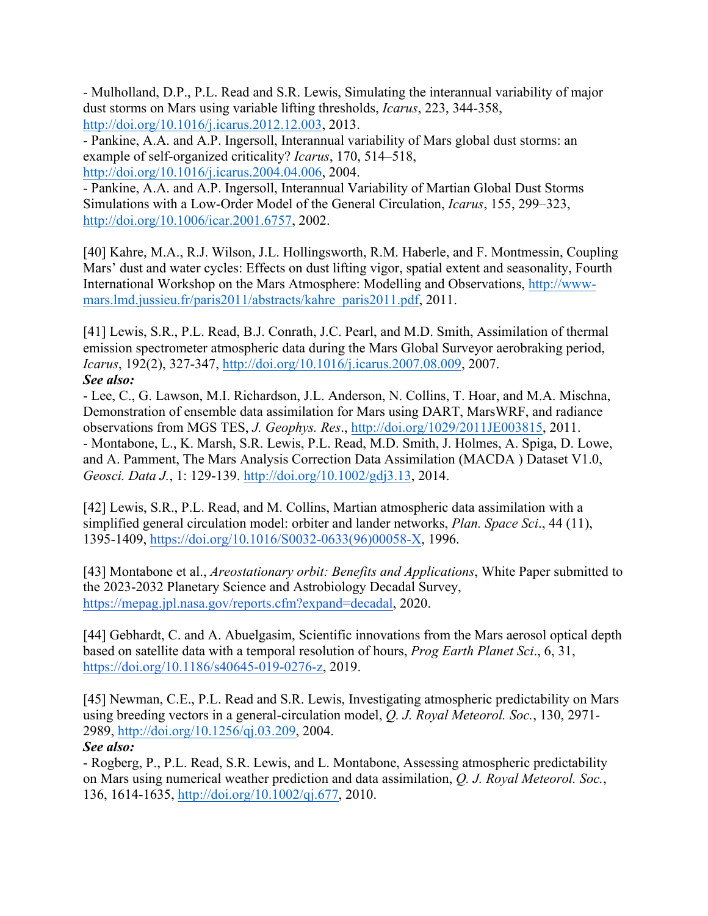- Mulholland, D.P., P.L. Read and S.R. Lewis, Simulating the interannual variability of major dust storms on Mars using variable lifting thresholds, *Icarus*, 223, 344-358, http://doi.org/10.1016/j.icarus.2012.12.003, 2013.

- Pankine, A.A. and A.P. Ingersoll, Interannual variability of Mars global dust storms: an example of self-organized criticality? *Icarus*, 170, 514–518, http://doi.org/10.1016/j.icarus.2004.04.006, 2004.

- Pankine, A.A. and A.P. Ingersoll, Interannual Variability of Martian Global Dust Storms Simulations with a Low-Order Model of the General Circulation, *Icarus*, 155, 299–323, http://doi.org/10.1006/icar.2001.6757, 2002.

[40] Kahre, M.A., R.J. Wilson, J.L. Hollingsworth, R.M. Haberle, and F. Montmessin, Coupling Mars' dust and water cycles: Effects on dust lifting vigor, spatial extent and seasonality, Fourth International Workshop on the Mars Atmosphere: Modelling and Observations, http://wwwmars.lmd.jussieu.fr/paris2011/abstracts/kahre\_paris2011.pdf, 2011.

[41] Lewis, S.R., P.L. Read, B.J. Conrath, J.C. Pearl, and M.D. Smith, Assimilation of thermal emission spectrometer atmospheric data during the Mars Global Surveyor aerobraking period, *Icarus*, 192(2), 327-347, http://doi.org/10.1016/j.icarus.2007.08.009, 2007. *See also:*

- Lee, C., G. Lawson, M.I. Richardson, J.L. Anderson, N. Collins, T. Hoar, and M.A. Mischna, Demonstration of ensemble data assimilation for Mars using DART, MarsWRF, and radiance observations from MGS TES, *J. Geophys. Res*., http://doi.org/1029/2011JE003815, 2011. - Montabone, L., K. Marsh, S.R. Lewis, P.L. Read, M.D. Smith, J. Holmes, A. Spiga, D. Lowe, and A. Pamment, The Mars Analysis Correction Data Assimilation (MACDA ) Dataset V1.0, *Geosci. Data J.*, 1: 129-139. http://doi.org/10.1002/gdj3.13, 2014.

[42] Lewis, S.R., P.L. Read, and M. Collins, Martian atmospheric data assimilation with a simplified general circulation model: orbiter and lander networks, *Plan. Space Sci*., 44 (11), 1395-1409, https://doi.org/10.1016/S0032-0633(96)00058-X, 1996.

[43] Montabone et al., *Areostationary orbit: Benefits and Applications*, White Paper submitted to the 2023-2032 Planetary Science and Astrobiology Decadal Survey, https://mepag.jpl.nasa.gov/reports.cfm?expand=decadal, 2020.

[44] Gebhardt, C. and A. Abuelgasim, Scientific innovations from the Mars aerosol optical depth based on satellite data with a temporal resolution of hours, *Prog Earth Planet Sci*., 6, 31, https://doi.org/10.1186/s40645-019-0276-z, 2019.

[45] Newman, C.E., P.L. Read and S.R. Lewis, Investigating atmospheric predictability on Mars using breeding vectors in a general-circulation model, *Q. J. Royal Meteorol. Soc.*, 130, 2971- 2989, http://doi.org/10.1256/qj.03.209, 2004.

## *See also:*

- Rogberg, P., P.L. Read, S.R. Lewis, and L. Montabone, Assessing atmospheric predictability on Mars using numerical weather prediction and data assimilation, *Q. J. Royal Meteorol. Soc.*, 136, 1614-1635, http://doi.org/10.1002/qj.677, 2010.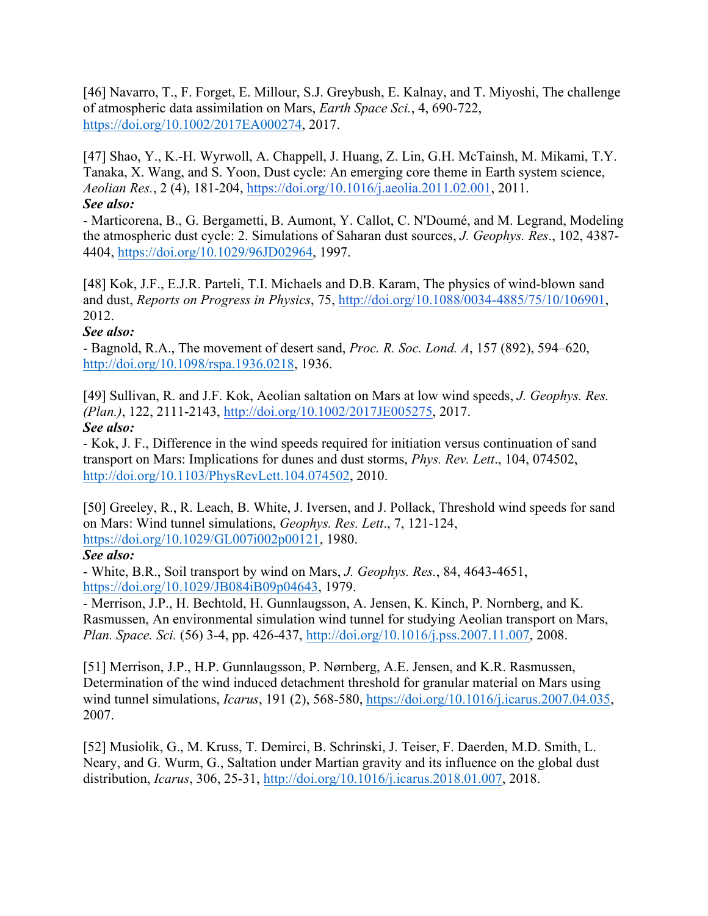[46] Navarro, T., F. Forget, E. Millour, S.J. Greybush, E. Kalnay, and T. Miyoshi, The challenge of atmospheric data assimilation on Mars, *Earth Space Sci.*, 4, 690-722, https://doi.org/10.1002/2017EA000274, 2017.

[47] Shao, Y., K.-H. Wyrwoll, A. Chappell, J. Huang, Z. Lin, G.H. McTainsh, M. Mikami, T.Y. Tanaka, X. Wang, and S. Yoon, Dust cycle: An emerging core theme in Earth system science, *Aeolian Res.*, 2 (4), 181-204, https://doi.org/10.1016/j.aeolia.2011.02.001, 2011. *See also:*

- Marticorena, B., G. Bergametti, B. Aumont, Y. Callot, C. N'Doumé, and M. Legrand, Modeling the atmospheric dust cycle: 2. Simulations of Saharan dust sources, *J. Geophys. Res*., 102, 4387- 4404, https://doi.org/10.1029/96JD02964, 1997.

[48] Kok, J.F., E.J.R. Parteli, T.I. Michaels and D.B. Karam, The physics of wind-blown sand and dust, *Reports on Progress in Physics*, 75, http://doi.org/10.1088/0034-4885/75/10/106901, 2012.

## *See also:*

- Bagnold, R.A., The movement of desert sand, *Proc. R. Soc. Lond. A*, 157 (892), 594–620, http://doi.org/10.1098/rspa.1936.0218, 1936.

[49] Sullivan, R. and J.F. Kok, Aeolian saltation on Mars at low wind speeds, *J. Geophys. Res. (Plan.)*, 122, 2111-2143, http://doi.org/10.1002/2017JE005275, 2017. *See also:*

- Kok, J. F., Difference in the wind speeds required for initiation versus continuation of sand transport on Mars: Implications for dunes and dust storms, *Phys. Rev. Lett*., 104, 074502, http://doi.org/10.1103/PhysRevLett.104.074502, 2010.

[50] Greeley, R., R. Leach, B. White, J. Iversen, and J. Pollack, Threshold wind speeds for sand on Mars: Wind tunnel simulations, *Geophys. Res. Lett*., 7, 121-124, https://doi.org/10.1029/GL007i002p00121, 1980.

## *See also:*

- White, B.R., Soil transport by wind on Mars, *J. Geophys. Res.*, 84, 4643-4651, https://doi.org/10.1029/JB084iB09p04643, 1979.

- Merrison, J.P., H. Bechtold, H. Gunnlaugsson, A. Jensen, K. Kinch, P. Nornberg, and K. Rasmussen, An environmental simulation wind tunnel for studying Aeolian transport on Mars, *Plan. Space. Sci.* (56) 3-4, pp. 426-437, http://doi.org/10.1016/j.pss.2007.11.007, 2008.

[51] Merrison, J.P., H.P. Gunnlaugsson, P. Nørnberg, A.E. Jensen, and K.R. Rasmussen, Determination of the wind induced detachment threshold for granular material on Mars using wind tunnel simulations, *Icarus*, 191 (2), 568-580, https://doi.org/10.1016/j.icarus.2007.04.035, 2007.

[52] Musiolik, G., M. Kruss, T. Demirci, B. Schrinski, J. Teiser, F. Daerden, M.D. Smith, L. Neary, and G. Wurm, G., Saltation under Martian gravity and its influence on the global dust distribution, *Icarus*, 306, 25-31, http://doi.org/10.1016/j.icarus.2018.01.007, 2018.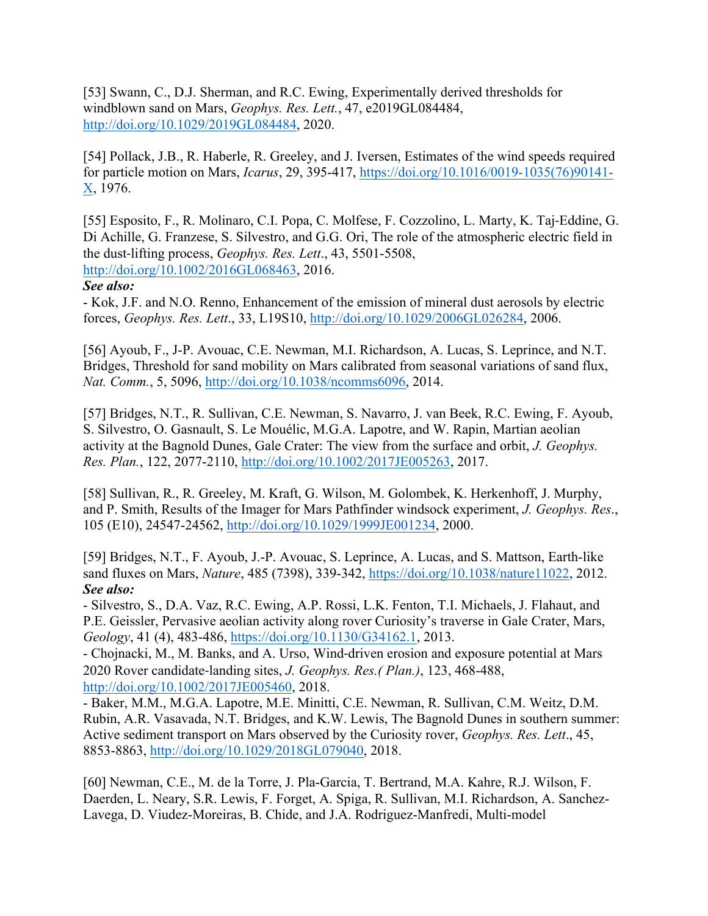[53] Swann, C., D.J. Sherman, and R.C. Ewing, Experimentally derived thresholds for windblown sand on Mars, *Geophys. Res. Lett.*, 47, e2019GL084484, http://doi.org/10.1029/2019GL084484, 2020.

[54] Pollack, J.B., R. Haberle, R. Greeley, and J. Iversen, Estimates of the wind speeds required for particle motion on Mars, *Icarus*, 29, 395-417, https://doi.org/10.1016/0019-1035(76)90141- X, 1976.

[55] Esposito, F., R. Molinaro, C.I. Popa, C. Molfese, F. Cozzolino, L. Marty, K. Taj-Eddine, G. Di Achille, G. Franzese, S. Silvestro, and G.G. Ori, The role of the atmospheric electric field in the dust-lifting process, *Geophys. Res. Lett*., 43, 5501-5508, http://doi.org/10.1002/2016GL068463, 2016.

### *See also:*

- Kok, J.F. and N.O. Renno, Enhancement of the emission of mineral dust aerosols by electric forces, *Geophys. Res. Lett*., 33, L19S10, http://doi.org/10.1029/2006GL026284, 2006.

[56] Ayoub, F., J-P. Avouac, C.E. Newman, M.I. Richardson, A. Lucas, S. Leprince, and N.T. Bridges, Threshold for sand mobility on Mars calibrated from seasonal variations of sand flux, *Nat. Comm.*, 5, 5096, http://doi.org/10.1038/ncomms6096, 2014.

[57] Bridges, N.T., R. Sullivan, C.E. Newman, S. Navarro, J. van Beek, R.C. Ewing, F. Ayoub, S. Silvestro, O. Gasnault, S. Le Mouélic, M.G.A. Lapotre, and W. Rapin, Martian aeolian activity at the Bagnold Dunes, Gale Crater: The view from the surface and orbit, *J. Geophys. Res. Plan.*, 122, 2077-2110, http://doi.org/10.1002/2017JE005263, 2017.

[58] Sullivan, R., R. Greeley, M. Kraft, G. Wilson, M. Golombek, K. Herkenhoff, J. Murphy, and P. Smith, Results of the Imager for Mars Pathfinder windsock experiment, *J. Geophys. Res*., 105 (E10), 24547-24562, http://doi.org/10.1029/1999JE001234, 2000.

[59] Bridges, N.T., F. Ayoub, J.-P. Avouac, S. Leprince, A. Lucas, and S. Mattson, Earth-like sand fluxes on Mars, *Nature*, 485 (7398), 339-342, https://doi.org/10.1038/nature11022, 2012. *See also:*

- Silvestro, S., D.A. Vaz, R.C. Ewing, A.P. Rossi, L.K. Fenton, T.I. Michaels, J. Flahaut, and P.E. Geissler, Pervasive aeolian activity along rover Curiosity's traverse in Gale Crater, Mars, *Geology*, 41 (4), 483-486, https://doi.org/10.1130/G34162.1, 2013.

- Chojnacki, M., M. Banks, and A. Urso, Wind-driven erosion and exposure potential at Mars 2020 Rover candidate-landing sites, *J. Geophys. Res.( Plan.)*, 123, 468-488, http://doi.org/10.1002/2017JE005460, 2018.

- Baker, M.M., M.G.A. Lapotre, M.E. Minitti, C.E. Newman, R. Sullivan, C.M. Weitz, D.M. Rubin, A.R. Vasavada, N.T. Bridges, and K.W. Lewis, The Bagnold Dunes in southern summer: Active sediment transport on Mars observed by the Curiosity rover, *Geophys. Res. Lett*., 45, 8853-8863, http://doi.org/10.1029/2018GL079040, 2018.

[60] Newman, C.E., M. de la Torre, J. Pla-Garcia, T. Bertrand, M.A. Kahre, R.J. Wilson, F. Daerden, L. Neary, S.R. Lewis, F. Forget, A. Spiga, R. Sullivan, M.I. Richardson, A. Sanchez-Lavega, D. Viudez-Moreiras, B. Chide, and J.A. Rodriguez-Manfredi, Multi-model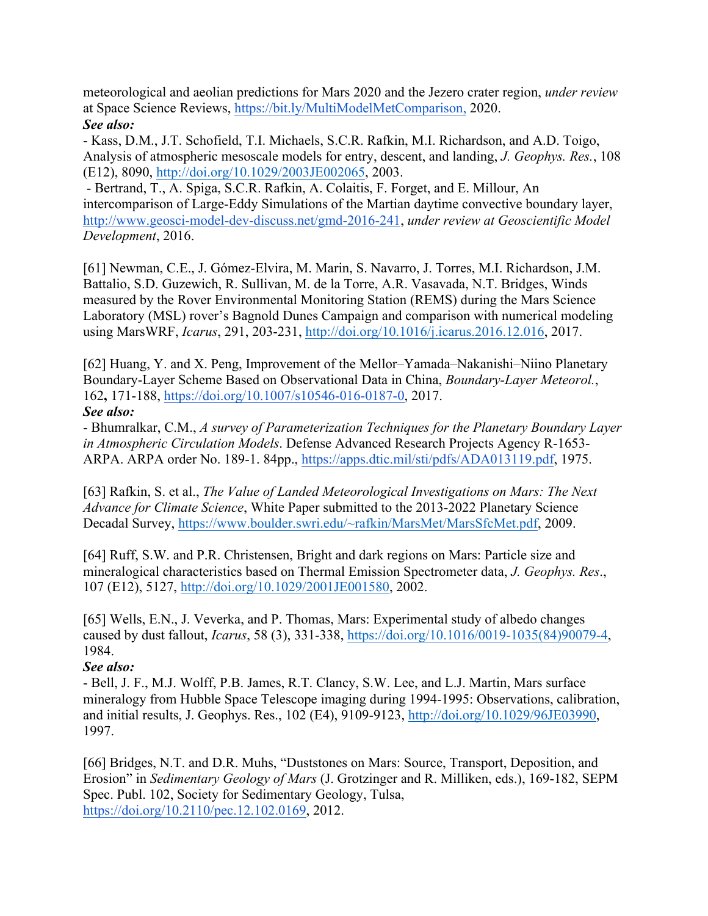meteorological and aeolian predictions for Mars 2020 and the Jezero crater region, *under review* at Space Science Reviews, https://bit.ly/MultiModelMetComparison, 2020. *See also:*

- Kass, D.M., J.T. Schofield, T.I. Michaels, S.C.R. Rafkin, M.I. Richardson, and A.D. Toigo, Analysis of atmospheric mesoscale models for entry, descent, and landing, *J. Geophys. Res.*, 108 (E12), 8090, http://doi.org/10.1029/2003JE002065, 2003.

- Bertrand, T., A. Spiga, S.C.R. Rafkin, A. Colaitis, F. Forget, and E. Millour, An intercomparison of Large-Eddy Simulations of the Martian daytime convective boundary layer, http://www.geosci-model-dev-discuss.net/gmd-2016-241, *under review at Geoscientific Model Development*, 2016.

[61] Newman, C.E., J. Gómez-Elvira, M. Marin, S. Navarro, J. Torres, M.I. Richardson, J.M. Battalio, S.D. Guzewich, R. Sullivan, M. de la Torre, A.R. Vasavada, N.T. Bridges, Winds measured by the Rover Environmental Monitoring Station (REMS) during the Mars Science Laboratory (MSL) rover's Bagnold Dunes Campaign and comparison with numerical modeling using MarsWRF, *Icarus*, 291, 203-231, http://doi.org/10.1016/j.icarus.2016.12.016, 2017.

[62] Huang, Y. and X. Peng, Improvement of the Mellor–Yamada–Nakanishi–Niino Planetary Boundary-Layer Scheme Based on Observational Data in China, *Boundary-Layer Meteorol.*, 162**,** 171-188, https://doi.org/10.1007/s10546-016-0187-0, 2017.

### *See also:*

- Bhumralkar, C.M., *A survey of Parameterization Techniques for the Planetary Boundary Layer in Atmospheric Circulation Models*. Defense Advanced Research Projects Agency R-1653- ARPA. ARPA order No. 189-1. 84pp., https://apps.dtic.mil/sti/pdfs/ADA013119.pdf, 1975.

[63] Rafkin, S. et al., *The Value of Landed Meteorological Investigations on Mars: The Next Advance for Climate Science*, White Paper submitted to the 2013-2022 Planetary Science Decadal Survey, https://www.boulder.swri.edu/~rafkin/MarsMet/MarsSfcMet.pdf, 2009.

[64] Ruff, S.W. and P.R. Christensen, Bright and dark regions on Mars: Particle size and mineralogical characteristics based on Thermal Emission Spectrometer data, *J. Geophys. Res*., 107 (E12), 5127, http://doi.org/10.1029/2001JE001580, 2002.

[65] Wells, E.N., J. Veverka, and P. Thomas, Mars: Experimental study of albedo changes caused by dust fallout, *Icarus*, 58 (3), 331-338, https://doi.org/10.1016/0019-1035(84)90079-4, 1984.

## *See also:*

- Bell, J. F., M.J. Wolff, P.B. James, R.T. Clancy, S.W. Lee, and L.J. Martin, Mars surface mineralogy from Hubble Space Telescope imaging during 1994-1995: Observations, calibration, and initial results, J. Geophys. Res., 102 (E4), 9109-9123, http://doi.org/10.1029/96JE03990, 1997.

[66] Bridges, N.T. and D.R. Muhs, "Duststones on Mars: Source, Transport, Deposition, and Erosion" in *Sedimentary Geology of Mars* (J. Grotzinger and R. Milliken, eds.), 169-182, SEPM Spec. Publ. 102, Society for Sedimentary Geology, Tulsa, https://doi.org/10.2110/pec.12.102.0169, 2012.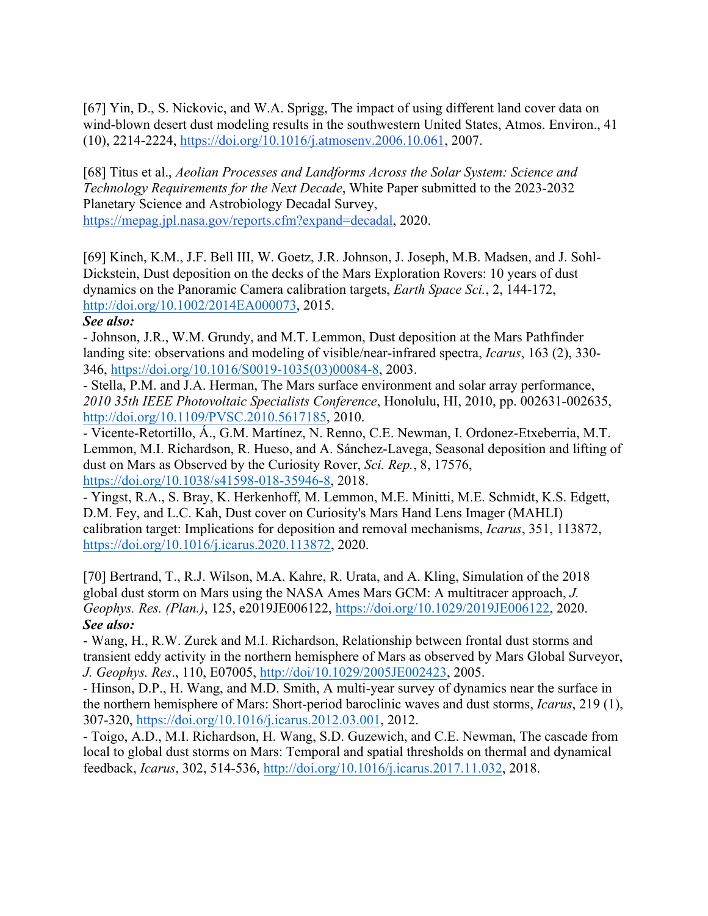[67] Yin, D., S. Nickovic, and W.A. Sprigg, The impact of using different land cover data on wind-blown desert dust modeling results in the southwestern United States, Atmos. Environ., 41 (10), 2214-2224, https://doi.org/10.1016/j.atmosenv.2006.10.061, 2007.

[68] Titus et al., *Aeolian Processes and Landforms Across the Solar System: Science and Technology Requirements for the Next Decade*, White Paper submitted to the 2023-2032 Planetary Science and Astrobiology Decadal Survey, https://mepag.jpl.nasa.gov/reports.cfm?expand=decadal, 2020.

[69] Kinch, K.M., J.F. Bell III, W. Goetz, J.R. Johnson, J. Joseph, M.B. Madsen, and J. Sohl-Dickstein, Dust deposition on the decks of the Mars Exploration Rovers: 10 years of dust dynamics on the Panoramic Camera calibration targets, *Earth Space Sci.*, 2, 144-172, http://doi.org/10.1002/2014EA000073, 2015.

### *See also:*

- Johnson, J.R., W.M. Grundy, and M.T. Lemmon, Dust deposition at the Mars Pathfinder landing site: observations and modeling of visible/near-infrared spectra, *Icarus*, 163 (2), 330- 346, https://doi.org/10.1016/S0019-1035(03)00084-8, 2003.

- Stella, P.M. and J.A. Herman, The Mars surface environment and solar array performance, *2010 35th IEEE Photovoltaic Specialists Conference*, Honolulu, HI, 2010, pp. 002631-002635, http://doi.org/10.1109/PVSC.2010.5617185, 2010.

- Vicente-Retortillo, Á., G.M. Martínez, N. Renno, C.E. Newman, I. Ordonez-Etxeberria, M.T. Lemmon, M.I. Richardson, R. Hueso, and A. Sánchez-Lavega, Seasonal deposition and lifting of dust on Mars as Observed by the Curiosity Rover, *Sci. Rep.*, 8, 17576, https://doi.org/10.1038/s41598-018-35946-8, 2018.

- Yingst, R.A., S. Bray, K. Herkenhoff, M. Lemmon, M.E. Minitti, M.E. Schmidt, K.S. Edgett, D.M. Fey, and L.C. Kah, Dust cover on Curiosity's Mars Hand Lens Imager (MAHLI) calibration target: Implications for deposition and removal mechanisms, *Icarus*, 351, 113872, https://doi.org/10.1016/j.icarus.2020.113872, 2020.

[70] Bertrand, T., R.J. Wilson, M.A. Kahre, R. Urata, and A. Kling, Simulation of the 2018 global dust storm on Mars using the NASA Ames Mars GCM: A multitracer approach, *J. Geophys. Res. (Plan.)*, 125, e2019JE006122, https://doi.org/10.1029/2019JE006122, 2020. *See also:*

- Wang, H., R.W. Zurek and M.I. Richardson, Relationship between frontal dust storms and transient eddy activity in the northern hemisphere of Mars as observed by Mars Global Surveyor, *J. Geophys. Res*., 110, E07005, http://doi/10.1029/2005JE002423, 2005.

- Hinson, D.P., H. Wang, and M.D. Smith, A multi-year survey of dynamics near the surface in the northern hemisphere of Mars: Short-period baroclinic waves and dust storms, *Icarus*, 219 (1), 307-320, https://doi.org/10.1016/j.icarus.2012.03.001, 2012.

- Toigo, A.D., M.I. Richardson, H. Wang, S.D. Guzewich, and C.E. Newman, The cascade from local to global dust storms on Mars: Temporal and spatial thresholds on thermal and dynamical feedback, *Icarus*, 302, 514-536, http://doi.org/10.1016/j.icarus.2017.11.032, 2018.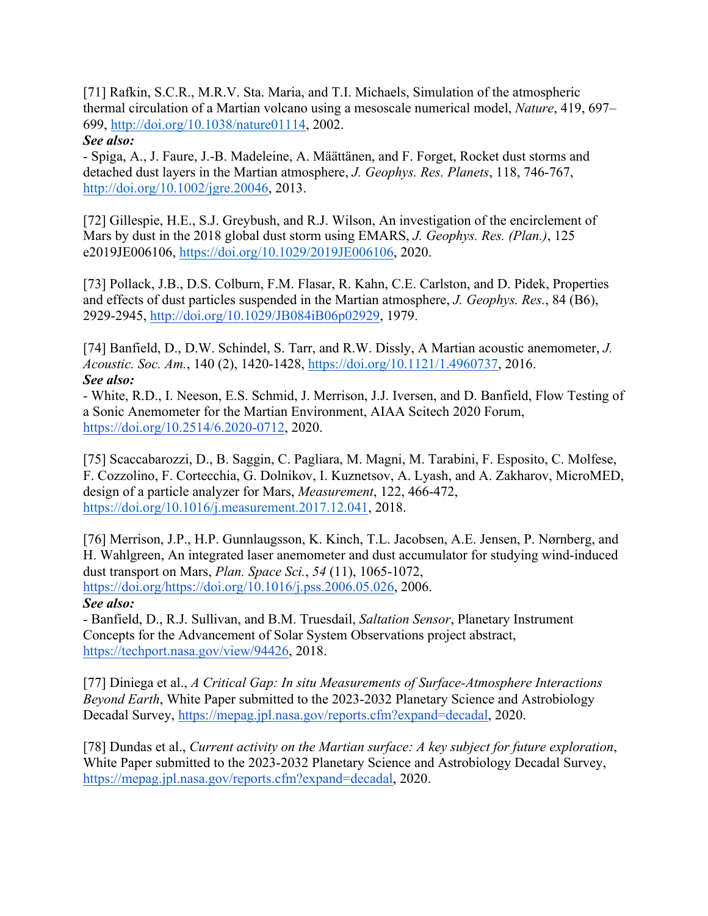[71] Rafkin, S.C.R., M.R.V. Sta. Maria, and T.I. Michaels, Simulation of the atmospheric thermal circulation of a Martian volcano using a mesoscale numerical model, *Nature*, 419, 697– 699, http://doi.org/10.1038/nature01114, 2002.

### *See also:*

- Spiga, A., J. Faure, J.-B. Madeleine, A. Määttänen, and F. Forget, Rocket dust storms and detached dust layers in the Martian atmosphere, *J. Geophys. Res. Planets*, 118, 746-767, http://doi.org/10.1002/jgre.20046, 2013.

[72] Gillespie, H.E., S.J. Greybush, and R.J. Wilson, An investigation of the encirclement of Mars by dust in the 2018 global dust storm using EMARS, *J. Geophys. Res. (Plan.)*, 125 e2019JE006106, https://doi.org/10.1029/2019JE006106, 2020.

[73] Pollack, J.B., D.S. Colburn, F.M. Flasar, R. Kahn, C.E. Carlston, and D. Pidek, Properties and effects of dust particles suspended in the Martian atmosphere, *J. Geophys. Res.*, 84 (B6), 2929-2945, http://doi.org/10.1029/JB084iB06p02929, 1979.

[74] Banfield, D., D.W. Schindel, S. Tarr, and R.W. Dissly, A Martian acoustic anemometer, *J. Acoustic. Soc. Am.*, 140 (2), 1420-1428, https://doi.org/10.1121/1.4960737, 2016. *See also:*

- White, R.D., I. Neeson, E.S. Schmid, J. Merrison, J.J. Iversen, and D. Banfield, Flow Testing of a Sonic Anemometer for the Martian Environment, AIAA Scitech 2020 Forum, https://doi.org/10.2514/6.2020-0712, 2020.

[75] Scaccabarozzi, D., B. Saggin, C. Pagliara, M. Magni, M. Tarabini, F. Esposito, C. Molfese, F. Cozzolino, F. Cortecchia, G. Dolnikov, I. Kuznetsov, A. Lyash, and A. Zakharov, MicroMED, design of a particle analyzer for Mars, *Measurement*, 122, 466-472, https://doi.org/10.1016/j.measurement.2017.12.041, 2018.

[76] Merrison, J.P., H.P. Gunnlaugsson, K. Kinch, T.L. Jacobsen, A.E. Jensen, P. Nørnberg, and H. Wahlgreen, An integrated laser anemometer and dust accumulator for studying wind-induced dust transport on Mars, *Plan. Space Sci.*, *54* (11), 1065-1072, https://doi.org/https://doi.org/10.1016/j.pss.2006.05.026, 2006.

#### *See also:*

- Banfield, D., R.J. Sullivan, and B.M. Truesdail, *Saltation Sensor*, Planetary Instrument Concepts for the Advancement of Solar System Observations project abstract, https://techport.nasa.gov/view/94426, 2018.

[77] Diniega et al., *A Critical Gap: In situ Measurements of Surface-Atmosphere Interactions Beyond Earth*, White Paper submitted to the 2023-2032 Planetary Science and Astrobiology Decadal Survey, https://mepag.jpl.nasa.gov/reports.cfm?expand=decadal, 2020.

[78] Dundas et al., *Current activity on the Martian surface: A key subject for future exploration*, White Paper submitted to the 2023-2032 Planetary Science and Astrobiology Decadal Survey, https://mepag.jpl.nasa.gov/reports.cfm?expand=decadal, 2020.